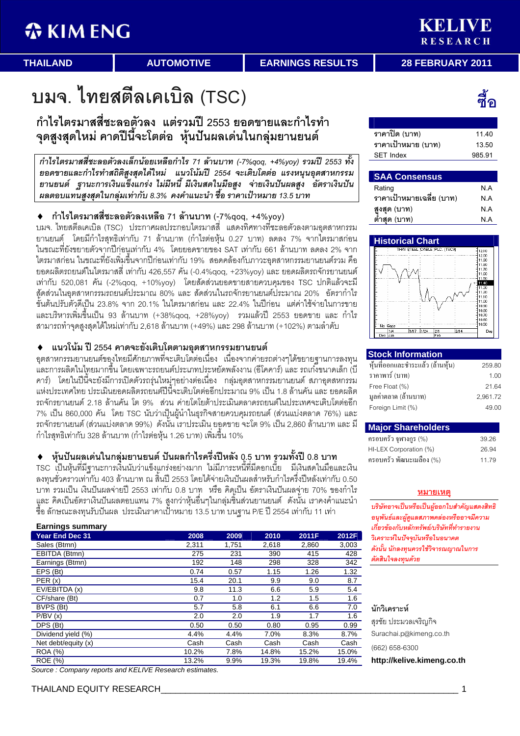**THAILAND AUTOMOTIVE EARNINGS RESULTS 28 FEBRUARY 2011** 

## บมจ. ไทยสตีลเคเบิล (TSC)

กำไรไตรมาสสี่ชะลอตัวลง แต่รวมปี 2553 ยอดขายและกำไรทำ จุดสูงสุดใหม่ คาดปีนี้จะโตต่อ หุ้นปันผลเด่นในกลุ่มยานยนต์

กำไรไตรมาสสี่ชะลอตัวลงเล็กน้อยเหลือกำไร 71 ล้านบาท (-7%qoq, +4%yoy) รวมปี 2553 ทั้ง ยอดขายและกำไรทำสถิติสูงสุดได้ใหม่ แนวโน้มปี 2554 จะเติบโตต่อ แรงหนุนอุตสาหกรรม ยานยนต์ ฐานะการเงินแข็งแกร่ง ไม่มีหนี้ มีเงินสดในมือสูง จ่ายเงินปันผลสูง อัตราเงินปัน ผลตอบแทนสูงสุดในกลุ่มเท่ากับ 8.3% คงคำแนะนำ ซื้อ ราคาเป้าหมาย 13.5 บาท

## ♦ กำไรไตรมาสสี่ชะลอตัวลงเหลือ 71 ล้านบาท (-7%qoq, +4%yoy)

บมจ. ไทยสตีลเคเบิล (TSC) ประกาศผลประกอบไตรมาสสี่ แสดงทิศทางที่ชะลอตัวลงตามอุตสาหกรรม ยานยนต์ โดยมีกำไรสุทธิเท่ากับ 71 ล้านบาท (กำไรต่อหุ้น 0.27 บาท) ลดลง 7% จากไตรมาสก่อน ในขณะที่ยังขยายตัวจากปีก่อนเท่ากับ 4% โดยยอดขายของ SAT เท่ากับ 661 ล้านบาท ลดลง 2% จาก ไตรมาสก่อน ในขณะที่ยังเพิ่มขึ้นจากปีก่อนเท่ากับ 19% สอดคล้องกับภาวะอุตสาหกรรมยานยนต์รวม คือ ยอดผลิตรถยนต์ในไตรมาสสี่ เท่ากับ 426,557 คัน (-0.4%qoq, +23%yoy) และ ยอดผลิตรถจักรยานยนต์ เท่ากับ 520,081 คัน (-2%qoq, +10%yoy) โดยสัดส่วนยอดขายสายควบคุมของ TSC ปกติแล้วจะมี สู้ดส่วนในอุตสาหกรรมรถยนต์ประมาณ 80% และ สัดส่วนในรถจักรยานยนต์ประมาณ 20% อัตรากำไร ขั้นต้นปรับตัวดีเป็น 23.8% จาก 20.1% ในไตรมาสก่อน และ 22.4% ในปีก่อน แต่ค่าใช้จ่ายในการขาย และบริหารเพิ่มขึ้นเป็น 93 ล้านบาท (+38%qoq, +28%yoy) รวมแล้วปี 2553 ยอดขาย และ กำไร สามารถทำจุดสูงสุดได้ใหม่เท่ากับ 2,618 ล้านบาท (+49%) และ 298 ล้านบาท (+102%) ตามลำดับ

## ♦ แนวโน้ม ปี 2554 คาดจะยังเติบโตตามอุตสาหกรรมยานยนต์

อุตสาหกรรมยานยนต์ของไทยมีศักยภาพที่จะเติบโตต่อเนื่อง เนื่องจากค่ายรถต่างๆได้ขยายฐานการลงทุน และการผลิตในไทยมากขึ้น โดยเฉพาะรถยนต์ประเภทประหยัดพลังงาน (อีโคคาร์) และ รถเก๋ง็ขนาดเล็ก (ปี คาร์) โดยในปีนี้จะยังมีการเปิดตัวรถรุ่นใหม่ๆอย่างต่อเนื่อง กลุ่มอุตสาหกรรมยานยนต์ สภาอุตสหกรรม แห่งประเทศไทย ประเมินยอดผลิตรถยนต์ปีนี้จะเติบโตต่ออีกประมาณ 9% เป็น 1.8 ล้านคัน และ ยอดผลิต รถจักรยานยนต์ 2.18 ล้านคัน โต 9% ส่วน ค่ายโตโยต้าประเมินตลาดรถยนต์ในประเทศจะเติบโตต่ออีก 7% เป็น 860,000 คัน โดย TSC นับว่าเป็นผู้นำในธุรกิจสายควบคุมรถยนต์ (ส่วนแบ่งตลาด 76%) และ รถจักรยานยนต์ (ส่วนแบ่งตลาด 99%) ดังนั้น เราประเมิน ยอูดขาย จะโต 9% เป็น 2,860 ล้านบาท และ มี กำไรสุทธิเท่ากับ 328 ล้านบาท (กำไรต่อหุ้น 1.26 บาท) เพิ่มขึ้น 10%

## ♦ หุ้นปันผลเด่นในกลุ่มยานยนต์ ปันผลกำไรครึ่งปีหลัง 0.5 บาท รูวมทั้งปี 0.8 บาท

TSC เป็นหุ้นที่มีฐานะการเงินนับว่าแข็งแกร่งอย่างมาก ไม่มีภาระหนี้ที่มีดอกเบี้ย มีเงินสดในมือและเงิน ลงทุนชั่วคราวเท่ากับ 403 ล้านบาท ณ สิ้นปี 2553 โดยได้จ่ายเงินปันผลสำหรับกำไรครึ่งปีหลังเท่ากับ 0.50 บาท รวมเป็น เงินปันผลจ่ายปี 2553 เท่ากับ 0.8 บาท หรือ คิดเป็น อัตราเงินปันผลจ่าย 70% ของกำไร แูละ คิดเป็นอัตราเงินปันผลตอบแทน 7% สูงกว่าหุ้นอื่นๆในกลุ่มชิ้นส่วนยานยนต์ ดังนั้น เราคงคำแนะนำ ซื้อ ลักษณะลงทุนรับปันผล ประเมินราคาเป้้าหมาย 13.5 บาท บนฐาน P/E ปี 2554 เท่ากับ 11 เท่า

| <b>Earnings summary</b> |       |       |       |       |       |
|-------------------------|-------|-------|-------|-------|-------|
| <b>Year End Dec 31</b>  | 2008  | 2009  | 2010  | 2011F | 2012F |
| Sales (Btmn)            | 2,311 | 1,751 | 2,618 | 2,860 | 3,003 |
| EBITDA (Btmn)           | 275   | 231   | 390   | 415   | 428   |
| Earnings (Btmn)         | 192   | 148   | 298   | 328   | 342   |
| EPS (Bt)                | 0.74  | 0.57  | 1.15  | 1.26  | 1.32  |
| PER(x)                  | 15.4  | 20.1  | 9.9   | 9.0   | 8.7   |
| EV/EBITDA (x)           | 9.8   | 11.3  | 6.6   | 5.9   | 5.4   |
| CF/share (Bt)           | 0.7   | 1.0   | 1.2   | 1.5   | 1.6   |
| BVPS (Bt)               | 5.7   | 5.8   | 6.1   | 6.6   | 7.0   |
| P/BV(x)                 | 2.0   | 2.0   | 1.9   | 1.7   | 1.6   |
| DPS (Bt)                | 0.50  | 0.50  | 0.80  | 0.95  | 0.99  |
| Dividend yield (%)      | 4.4%  | 4.4%  | 7.0%  | 8.3%  | 8.7%  |
| Net debt/equity (x)     | Cash  | Cash  | Cash  | Cash  | Cash  |
| <b>ROA</b> (%)          | 10.2% | 7.8%  | 14.8% | 15.2% | 15.0% |
| <b>ROE</b> (%)          | 13.2% | 9.9%  | 19.3% | 19.8% | 19.4% |

Source : Company reports and KELIVE Research estimates.

# ชื้อ

| ราคาปิด (บาท)      | 11 40  |
|--------------------|--------|
| ราคาเป้าหมาย (บาท) | 13.50  |
| <b>SET Index</b>   | 985.91 |

## **SAA Consensus**

| Rating                   | ΝA  |
|--------------------------|-----|
| ราคาเป้าหมายเฉลี่ย (บาท) | N A |
| สูงสุด (บาท)             | ΝA  |
| ต่ำสุด (บาท)             | NΑ  |



## **Stock Information**

| หุ้นที่ออกและชำระแล้ว (ล้านหุ้น) | 259.80   |
|----------------------------------|----------|
| ราคาพาร์ (บาท)                   | 1.00     |
| Free Float (%)                   | 21.64    |
| มูลค่าตลาด (ล้านบาท)             | 2,961.72 |
| Foreign Limit (%)                | 49.00    |

## **Major Shareholders**  - (%) 39.26

| แรกที่แกรนนี้เหม่ที่ 1 / 0 / | JJ.ZU |
|------------------------------|-------|
| HI-LEX Corporation (%)       | 26.94 |
| ครอบครัว พัฒนะเมลือง (%)     | 11.79 |

## <u>หมายเหตุ</u>

บริษัทอาจเป็นหรือเป็นผู้ออกใบสำคัญแสดงสิทธิ อนพันธ์และผัดแลสภาพคล่องหรืออาจมีความ เกี่ยวข้องกับหลักทรัพย์/บริษัทที่ทำรายงาน วิเคราะห์ในปัจจุบันหรือในอนาคต ์ ดังนั้น นักลงทุนควรใช้วิจารณญาณในการ ตัดสินใจลงทนด้วย

## นักวิเคราะห์

สรชัย ประมวลเจริญกิจ Surachai.p@kimeng.co.th

(662) 658-6300

**http://kelive.kimeng.co.th**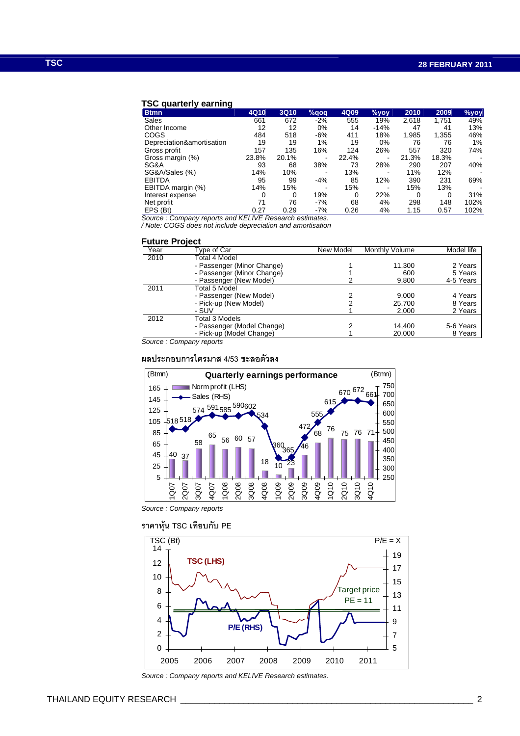## **TSC quarterly earning**

| <b>Btmn</b>               | 4Q10  | <b>3Q10</b> | %qoq                     | 4Q09  | $%$ yoy | 2010  | 2009  | %yoy                     |
|---------------------------|-------|-------------|--------------------------|-------|---------|-------|-------|--------------------------|
| Sales                     | 661   | 672         | $-2%$                    | 555   | 19%     | 2,618 | 1,751 | 49%                      |
| Other Income              | 12    | 12          | 0%                       | 14    | $-14%$  | 47    | 41    | 13%                      |
| <b>COGS</b>               | 484   | 518         | $-6%$                    | 411   | 18%     | 1,985 | 1,355 | 46%                      |
| Depreciation&amortisation | 19    | 19          | $1\%$                    | 19    | 0%      | 76    | 76    | 1%                       |
| Gross profit              | 157   | 135         | 16%                      | 124   | 26%     | 557   | 320   | 74%                      |
| Gross margin (%)          | 23.8% | 20.1%       | ۰                        | 22.4% |         | 21.3% | 18.3% | $\overline{\phantom{a}}$ |
| SG&A                      | 93    | 68          | 38%                      | 73    | 28%     | 290   | 207   | 40%                      |
| SG&A/Sales (%)            | 14%   | 10%         | $\overline{\phantom{a}}$ | 13%   |         | 11%   | 12%   | $\blacksquare$           |
| <b>EBITDA</b>             | 95    | 99          | $-4%$                    | 85    | 12%     | 390   | 231   | 69%                      |
| EBITDA margin (%)         | 14%   | 15%         | ۰                        | 15%   |         | 15%   | 13%   | $\overline{\phantom{a}}$ |
| Interest expense          | 0     | 0           | 19%                      |       | 22%     | 0     | 0     | 31%                      |
| Net profit                | 71    | 76          | $-7%$                    | 68    | 4%      | 298   | 148   | 102%                     |
| EPS (Bt)                  | 0.27  | 0.29        | $-7%$                    | 0.26  | 4%      | 1.15  | 0.57  | 102%                     |

Source : Company reports and KELIVE Research estimates. / Note: COGS does not include depreciation and amortisation

#### **Future Project**

| Year | Type of Car                  | New Model | <b>Monthly Volume</b> | Model life |
|------|------------------------------|-----------|-----------------------|------------|
| 2010 | Total 4 Model                |           |                       |            |
|      | - Passenger (Minor Change)   |           | 11,300                | 2 Years    |
|      | - Passenger (Minor Change)   |           | 600                   | 5 Years    |
|      | - Passenger (New Model)      |           | 9,800                 | 4-5 Years  |
| 2011 | Total 5 Model                |           |                       |            |
|      | - Passenger (New Model)      |           | 9,000                 | 4 Years    |
|      | - Pick-up (New Model)        |           | 25.700                | 8 Years    |
|      | - SUV                        |           | 2,000                 | 2 Years    |
| 2012 | Total 3 Models               |           |                       |            |
|      | - Passenger (Model Change)   |           | 14.400                | 5-6 Years  |
|      | - Pick-up (Model Change)     |           | 20,000                | 8 Years    |
|      | $CQ$ urgo $CQ$ mpony ronorto |           |                       |            |

Source : Company reports

## ผลประกอบการไตรมาส 4/53 ชะลอตัวลง



Source : Company reports





Source : Company reports and KELIVE Research estimates.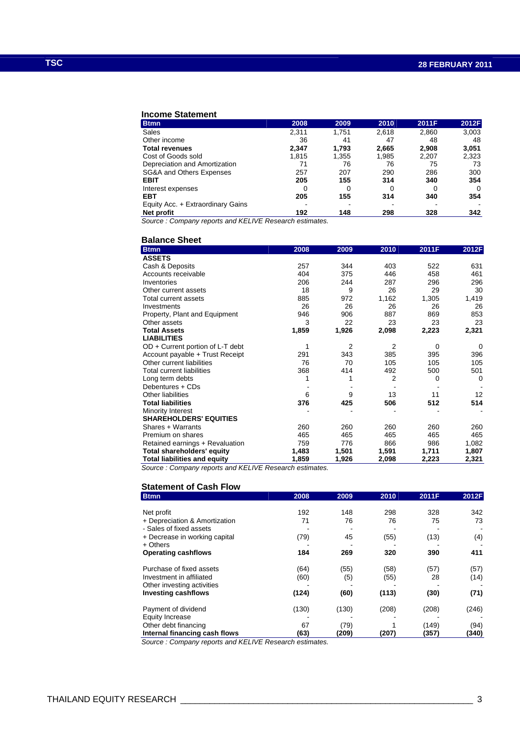### **Income Statement**

| <b>Btmn</b>                       | 2008  | 2009  | 2010  | 2011F | 2012F       |
|-----------------------------------|-------|-------|-------|-------|-------------|
| Sales                             | 2,311 | 1.751 | 2,618 | 2,860 | 3,003       |
| Other income                      | 36    | 41    | 47    | 48    | 48          |
| <b>Total revenues</b>             | 2.347 | 1.793 | 2,665 | 2.908 | 3,051       |
| Cost of Goods sold                | 1.815 | 1,355 | 1,985 | 2,207 | 2,323       |
| Depreciation and Amortization     | 71    | 76    | 76    | 75    | 73          |
| SG&A and Others Expenses          | 257   | 207   | 290   | 286   | 300         |
| <b>EBIT</b>                       | 205   | 155   | 314   | 340   | 354         |
| Interest expenses                 |       |       |       | 0     | $\mathbf 0$ |
| <b>EBT</b>                        | 205   | 155   | 314   | 340   | 354         |
| Equity Acc. + Extraordinary Gains |       |       |       |       |             |
| Net profit                        | 192   | 148   | 298   | 328   | 342         |

Source : Company reports and KELIVE Research estimates.

## **Balance Sheet**

| <b>Btmn</b>                         | 2008  | 2009  | 2010           | 2011F | 2012F |
|-------------------------------------|-------|-------|----------------|-------|-------|
| <b>ASSETS</b>                       |       |       |                |       |       |
| Cash & Deposits                     | 257   | 344   | 403            | 522   | 631   |
| Accounts receivable                 | 404   | 375   | 446            | 458   | 461   |
| Inventories                         | 206   | 244   | 287            | 296   | 296   |
| Other current assets                | 18    | 9     | 26             | 29    | 30    |
| Total current assets                | 885   | 972   | 1,162          | 1,305 | 1,419 |
| Investments                         | 26    | 26    | 26             | 26    | 26    |
| Property, Plant and Equipment       | 946   | 906   | 887            | 869   | 853   |
| Other assets                        | 3     | 22    | 23             | 23    | 23    |
| <b>Total Assets</b>                 | 1,859 | 1,926 | 2,098          | 2,223 | 2,321 |
| <b>LIABILITIES</b>                  |       |       |                |       |       |
| $OD + Current$ portion of L-T debt  | 1     | 2     | $\overline{2}$ | 0     | 0     |
| Account payable + Trust Receipt     | 291   | 343   | 385            | 395   | 396   |
| Other current liabilities           | 76    | 70    | 105            | 105   | 105   |
| <b>Total current liabilities</b>    | 368   | 414   | 492            | 500   | 501   |
| Long term debts                     | 1     | 1     | 2              | 0     | 0     |
| Debentures + CDs                    |       |       |                |       |       |
| Other liabilities                   | 6     | 9     | 13             | 11    | 12    |
| <b>Total liabilities</b>            | 376   | 425   | 506            | 512   | 514   |
| Minority Interest                   |       |       |                |       |       |
| <b>SHAREHOLDERS' EQUITIES</b>       |       |       |                |       |       |
| Shares + Warrants                   | 260   | 260   | 260            | 260   | 260   |
| Premium on shares                   | 465   | 465   | 465            | 465   | 465   |
| Retained earnings + Revaluation     | 759   | 776   | 866            | 986   | 1,082 |
| <b>Total shareholders' equity</b>   | 1,483 | 1,501 | 1,591          | 1,711 | 1,807 |
| <b>Total liabilities and equity</b> | 1,859 | 1,926 | 2,098          | 2,223 | 2,321 |

Source : Company reports and KELIVE Research estimates.

## **Statement of Cash Flow**

| <b>Btmn</b>                   | 2008  | 2009  | 2010  | 2011F | 2012F |
|-------------------------------|-------|-------|-------|-------|-------|
|                               |       |       |       |       |       |
| Net profit                    | 192   | 148   | 298   | 328   | 342   |
| + Depreciation & Amortization | 71    | 76    | 76    | 75    | 73    |
| - Sales of fixed assets       |       |       |       |       |       |
| + Decrease in working capital | (79)  | 45    | (55)  | (13)  | (4)   |
| $+$ Others                    |       |       |       |       |       |
| <b>Operating cashflows</b>    | 184   | 269   | 320   | 390   | 411   |
| Purchase of fixed assets      | (64)  | (55)  | (58)  | (57)  | (57)  |
| Investment in affiliated      | (60)  | (5)   | (55)  | 28    | (14)  |
| Other investing activities    |       |       |       |       |       |
| <b>Investing cashflows</b>    | (124) | (60)  | (113) | (30)  | (71)  |
| Payment of dividend           | (130) | (130) | (208) | (208) | (246) |
| <b>Equity Increase</b>        |       |       |       |       |       |
| Other debt financing          | 67    | (79)  |       | (149) | (94)  |
| Internal financing cash flows | (63)  | (209) | (207) | (357) | (340) |

Source : Company reports and KELIVE Research estimates.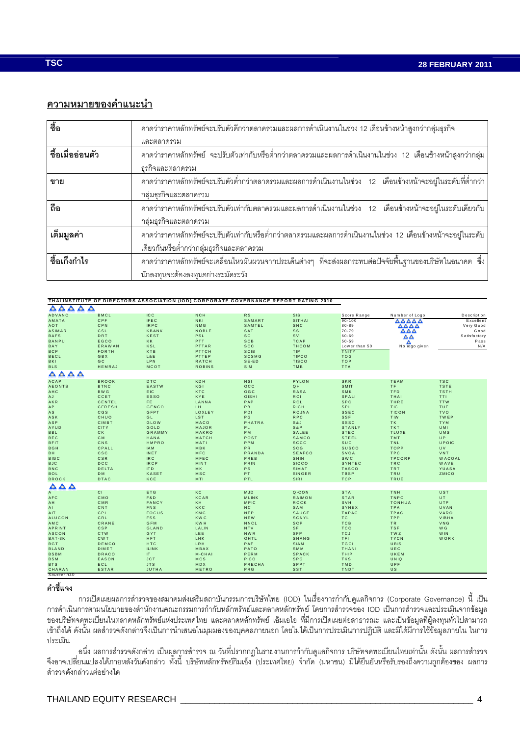## ความหมายของคำแนะนำ

| ื่<br>ซื้อ       | ิ คาดว่าราคาหลักทรัพย์จะปรับตัวดีกว่าตลาดรวมและผลการดำเนินงานในช่วง 12 เดือนข้างหน้าสูงกว่ากลุ่มธุรกิจ           |
|------------------|------------------------------------------------------------------------------------------------------------------|
|                  | และตลาดรวม                                                                                                       |
| ชื้อเมื่ออ่อนตัว | ิ คาดว่าราคาหลักทรัพย์  จะปรับตัวเท่ากับหรือต่ำกว่าตลาดรวมและผลการดำเนินงานในช่วง  12  เดือนข้างหน้าสูงกว่ากลุ่ม |
|                  | ธุรกิจและตลาดรวม                                                                                                 |
| ขาย              | ิ คาดว่าราคาหลักทรัพย์จะปรับตัวต่ำกว่าตลาดรวมและผลการดำเนินงานในช่วง 12 เดือนข้างหน้าจะอยู่ในระดับที่ต่ำกว่า     |
|                  | กลุ่มธุรกิจและตลาดรวม                                                                                            |
| ถือ              | ิ คาดว่าราคาหลักทรัพย์จะปรับตัวเท่ากับตลาดรวมและผลการดำเนินงานในช่วง 12 เดือนข้างหน้าจะอยู่ในระดับเดียวกับ       |
|                  | กลุ่มธุรกิจและตลาดรวม                                                                                            |
| เต็มมูลค่า       | ิ คาดว่าราคาหลักทรัพย์จะปรับตัวเท่ากับหรือต่ำกว่าตลาดรวมและผลการดำเนินงานในช่วง 12 เดือนข้างหน้าจะอยู่ในระดับ    |
|                  | เดียวกันหรือต่ำกว่ากลุ่มธุรกิจและตลาดรวม                                                                         |
| ชื้อเก็งกำไร     | ิ คาดว่าราคาหลักทรัพย์จะเคลื่อนไหวผันผวนจากประเด็นต่างๆ ที่จะส่งผลกระทบต่อปัจจัยพื้นฐานของบริษัทในอนาคต ซึ่ง     |
|                  | นักลงทุนจะต้องลงทุนอย่างระมัดระวัง                                                                               |

|                                                 |                |                 |               |                | THAI INSTITUTE OF DIRECTORS ASSOCIATION (IOD) CORPORATE GOVERNANCE REPORT RATING 2010 |               |                                           |               |
|-------------------------------------------------|----------------|-----------------|---------------|----------------|---------------------------------------------------------------------------------------|---------------|-------------------------------------------|---------------|
| $\bullet$<br>$\triangle$<br>$\bullet$ $\bullet$ |                |                 |               |                |                                                                                       |               |                                           |               |
| ADVANC                                          | <b>BMCL</b>    | IC <sub>C</sub> | <b>NCH</b>    | <b>RS</b>      | <b>SIS</b>                                                                            | Score Range   | Number of Logo                            | Description   |
| AMATA                                           | <b>CPF</b>     | <b>IFEC</b>     | <b>NKI</b>    | SAMART         | SITHAI                                                                                | $90 - 100$    | AAAAA                                     | Excellent     |
| AOT                                             | CPN            | <b>IRPC</b>     | NMG           | SAMTEL         | SNC                                                                                   | $80 - 89$     | $\triangle \triangle \triangle \triangle$ | Very Good     |
| <b>ASIMAR</b>                                   | CSL            | <b>KBANK</b>    | <b>NOBLE</b>  | SAT            | <b>SSI</b>                                                                            | $70 - 79$     | $\triangle \triangle \triangle$           | Good          |
| <b>BAFS</b>                                     | <b>DRT</b>     | <b>KEST</b>     | PSL           | <b>SC</b>      | SVI                                                                                   | 60-69         | $\triangle \triangle$                     | Satisfactory  |
| <b>BANPU</b>                                    | EGCO           | KK              | PTT           | SCB            | <b>TCAP</b>                                                                           | $50 - 59$     | Δ                                         | Pass          |
| BAY                                             | <b>ERAWAN</b>  | KSL             | PTTAR         | <b>SCC</b>     | <b>THCOM</b>                                                                          | Lower than 50 | No logo given                             | N/A           |
| <b>BCP</b>                                      | <b>FORTH</b>   | KTB             | PTTCH         | <b>SCIB</b>    | TIP                                                                                   | <b>TNITY</b>  |                                           |               |
| <b>BECL</b>                                     | GBX            | L&E             | PTTEP         | <b>SCSMG</b>   | <b>TIPCO</b>                                                                          | <b>TOG</b>    |                                           |               |
| <b>BKI</b>                                      | GC             | <b>LPN</b>      | <b>RATCH</b>  | $SE-ED$        | <b>TISCO</b>                                                                          | <b>TOP</b>    |                                           |               |
| <b>BLS</b>                                      | HEMRAJ         | MCOT            | <b>ROBINS</b> | <b>SIM</b>     | TMB                                                                                   | <b>TTA</b>    |                                           |               |
|                                                 |                |                 |               |                |                                                                                       |               |                                           |               |
| AAAA                                            |                |                 |               |                |                                                                                       |               |                                           |               |
| <b>ACAP</b>                                     | <b>BROOK</b>   | <b>DTC</b>      | KDH           | <b>NSI</b>     | PYLON                                                                                 | <b>SKR</b>    | TEAM                                      | <b>TSC</b>    |
| <b>AEONTS</b>                                   | <b>BTNC</b>    | EASTW           | KGI           | OCC            | QH                                                                                    | SMIT          | TF.                                       | <b>TSTE</b>   |
| AHC                                             | <b>BWG</b>     | EIC.            | <b>KTC</b>    | OGC            | <b>RASA</b>                                                                           | SMK           | <b>TFD</b>                                | <b>TSTH</b>   |
| AJ                                              | CCET           | <b>ESSO</b>     | KYE           | OISHI          | <b>RCI</b>                                                                            | SPALI         | THAI                                      | TTI.          |
| AKR                                             | CENTEL         | FE.             | LANNA         | PAP            | <b>RCL</b>                                                                            | <b>SPC</b>    | THRE                                      | <b>TTW</b>    |
| AP                                              | <b>CFRESH</b>  | <b>GENCO</b>    | LH.           | P <sub>B</sub> | <b>RICH</b>                                                                           | SPI           | <b>TIC</b>                                | TUF           |
| AS                                              | CGS            | GFPT            | LOXLEY        | PDI            | <b>ROJNA</b>                                                                          | <b>SSEC</b>   | <b>TICON</b>                              | <b>TVO</b>    |
| ASK                                             | CHUO           | GL              | <b>LST</b>    | P G            | <b>RPC</b>                                                                            | <b>SSF</b>    | TIW                                       | <b>TWEP</b>   |
| ASP                                             | CIMBT          | <b>GLOW</b>     | MACO          | <b>PHATRA</b>  | S&J                                                                                   | <b>SSSC</b>   | <b>TK</b>                                 | <b>TYM</b>    |
| AYUD                                            | <b>CITY</b>    | GOLD            | MAJOR         | PL.            | S&P                                                                                   | STANLY        | <b>TKT</b>                                | <b>UMI</b>    |
| <b>BBL</b>                                      | <b>CK</b>      | <b>GRAMMY</b>   | <b>MAKRO</b>  | <b>PM</b>      | SALEE                                                                                 | <b>STEC</b>   | <b>TLUXE</b>                              | UMS           |
| <b>BEC</b>                                      | <b>CM</b>      | HANA            | MATCH         | POST           | SAMCO                                                                                 | <b>STEEL</b>  | TMT                                       | <b>UP</b>     |
| <b>BFIT</b>                                     | CNS            | <b>HMPRO</b>    | MATI          | PPM            | <b>SCCC</b>                                                                           | SUC           | TNL                                       | UPOIC         |
| <b>BGH</b>                                      | CPALL          | IAM             | MBK           | PR             | <b>SCG</b>                                                                            | <b>SUSCO</b>  | <b>TOPP</b>                               | UV            |
| BH.                                             | csc            | <b>INET</b>     | MFC           | PRANDA         | <b>SEAFCO</b>                                                                         | SVOA          | <b>TPC</b>                                | VNT           |
| <b>BIGC</b>                                     | CSR            | IR <sub>C</sub> | MFEC          | PREB           | SHIN                                                                                  | <b>SWC</b>    | <b>TPCORP</b>                             | <b>WACOAL</b> |
| <b>BJC</b>                                      | <b>DCC</b>     | <b>IRCP</b>     | <b>MINT</b>   | PRIN           | <b>SICCO</b>                                                                          | SYNTEC        | <b>TRC</b>                                | WAVE          |
| <b>BNC</b>                                      | DELTA          | ITD             | MK            | PS             | SIMAT                                                                                 | <b>TASCO</b>  | TRT                                       | YUASA         |
| <b>BOL</b>                                      | D <sub>M</sub> | <b>KASET</b>    | <b>MSC</b>    | PT.            | <b>SINGER</b>                                                                         | <b>TBSP</b>   | TRU                                       | ZMICO         |
| <b>BROCK</b>                                    | DTAC           | KCE             | MTI           | PTL            | SIRI                                                                                  | <b>TCP</b>    | TRUE                                      |               |
| $\triangle$<br>$\blacktriangle$<br>A            |                |                 |               |                |                                                                                       |               |                                           |               |
| $\overline{A}$                                  | CI.            | ETG             | KC            | <b>MJD</b>     | Q-CON                                                                                 | <b>STA</b>    | TNH                                       | UST           |
| AFC                                             | CMO            | F&D             | <b>KCAR</b>   | MLINK          | <b>RAIMON</b>                                                                         | <b>STAR</b>   | <b>TNPC</b>                               | UT.           |
| AH                                              | CMR            | FANCY           | KH            | <b>MPIC</b>    | <b>ROCK</b>                                                                           | SVH           | <b>TONHUA</b>                             | <b>UTP</b>    |
| AI                                              | CNT            | <b>FNS</b>      | KKC           | <b>NC</b>      | SAM                                                                                   | SYNEX         | TPA                                       | UVAN          |
| AIT                                             | CPI            | <b>FOCUS</b>    | KMC           | <b>NEP</b>     | <b>SAUCE</b>                                                                          | <b>TAPAC</b>  | <b>TPAC</b>                               | VARO          |
| <b>ALUCON</b>                                   | CRL            | <b>FSS</b>      | <b>KWC</b>    | NEW            | SCNYL                                                                                 | TC            | TPP                                       | VIBHA         |
| AMC                                             | CRANE          | <b>GFM</b>      | <b>KWH</b>    | <b>NNCL</b>    | <b>SCP</b>                                                                            | <b>TCB</b>    | TR.                                       | VNG           |
| APRINT                                          | <b>CSP</b>     | <b>GLAND</b>    | LALIN         | <b>NTV</b>     | <b>SF</b>                                                                             | <b>TCC</b>    | <b>TSF</b>                                | W G           |
| <b>ASCON</b>                                    | <b>CTW</b>     | GYT             | LEE.          | <b>NWR</b>     | SFP                                                                                   | <b>TCJ</b>    | TWZ                                       | W IN          |
| BAT-3K                                          | <b>CWT</b>     | <b>HFT</b>      | LHK           | OHTL           | SHANG                                                                                 | TFI.          | <b>TYCN</b>                               | <b>WORK</b>   |
| <b>BGT</b>                                      | DEMCO          | <b>HTC</b>      | LRH           | PAF            | SIAM                                                                                  | <b>TGCI</b>   | UBIS                                      |               |
| <b>BLAND</b>                                    | DIMET          | <b>ILINK</b>    | MBAX          | PATO           | SMM                                                                                   | THANI         | UEC                                       |               |
| <b>BSBM</b>                                     | <b>DRACO</b>   | IT.             | M-CHAI        | PERM           | <b>SPACK</b>                                                                          | THIP          | UKEM                                      |               |
| <b>BSM</b>                                      | <b>EASON</b>   | <b>JCT</b>      | MCS           | <b>PICO</b>    | SPG                                                                                   | TKS           | UNIQ                                      |               |
| <b>BTS</b>                                      | ECL            | <b>JTS</b>      | MDX           | <b>PRECHA</b>  | SPPT                                                                                  | <b>TMD</b>    | UPF                                       |               |
| CHARAN                                          | ESTAR          | <b>JUTHA</b>    | METRO         | PRG            | <b>SST</b>                                                                            | TNDT          | <b>US</b>                                 |               |
|                                                 |                |                 |               |                |                                                                                       |               |                                           |               |

## <u>คำชี้แจง</u>

การเปิดเผยผลการสำรวจของสมาคมส่งเสริมสถาบันกรรมการบริษัทไทย (IOD) ในเรื่องการกำกับดูแลกิจการ (Corporate Governance) นี้ เป็น ี การดำเนินการตามนโยบายของสำนักงานคณะกรรมการกำกับหลักทรัพย์และตลาดหลักทรัพย์ โดยการสำรวจของ IOD เป็นการสำรวจและประเมินจากข้อมูล ่ ของบริษัทจดทะเบียนในตลาดหลักทรัพย์แห่งประเทศไทย และตลาดหลักทรัพย์ เอ็มเอไอ ที่มีการเปิดเผยต่อสาธารณะ และเป็นข้อมูลที่ผู้ลงทุนทั่วไปสามารถ เข้าถึงได้ ดังนั้น ผลลำรวจดังกล่าวจึงเป็นการนำเสนอในมุมมองของบุคคลภายนอก โดยไม่ได้เป็นการประเมินการปฏิบัติ และมิได้มีการใช้ข้อมูลภายใน ในการ ประเมิน

้อนึ่ง ผลการสำรวจดังกล่าว เป็นผุลการสำรวจ ณ วันที่ปรากกฎในรายงานการกำกับดูแลกิจการ บริษัทจดทะเบียนไทยเท่านั้น ดังนั้น ผลการสำรวจ ้จึงอาจเปลี่ยนแปลงได้ภายหลังวันดังกล่าว ทั้งนี้ บริษัทหลักทรัพย์กิมเอ็ง (ประเทศไทย) จำกัด (มหาชน) มิได้ยืนยันหรือรับรองถึงความถูกต้องของ ผลการ ล้ารวจดังกล่าวแต่อย่างใด